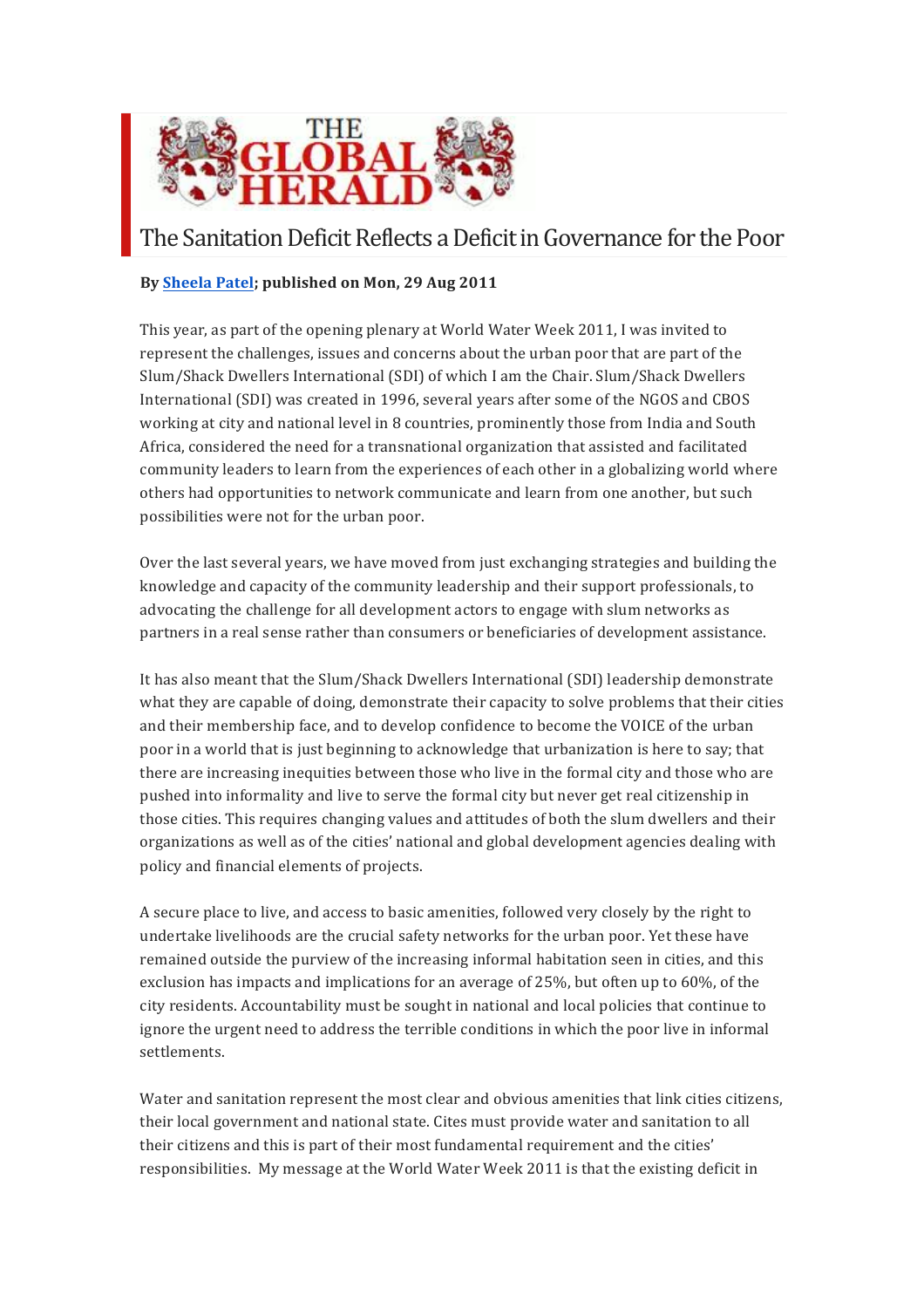

## The Sanitation Deficit Reflects a Deficit in Governance for the Poor

## **By Sheela Patel; published on Mon, 29 Aug 2011**

This year, as part of the opening plenary at World Water Week 2011, I was invited to represent the challenges, issues and concerns about the urban poor that are part of the Slum/Shack Dwellers International (SDI) of which I am the Chair. Slum/Shack Dwellers International (SDI) was created in 1996, several years after some of the NGOS and CBOS working at city and national level in 8 countries, prominently those from India and South Africa, considered the need for a transnational organization that assisted and facilitated community leaders to learn from the experiences of each other in a globalizing world where others had opportunities to network communicate and learn from one another, but such possibilities were not for the urban poor.

Over the last several years, we have moved from just exchanging strategies and building the knowledge and capacity of the community leadership and their support professionals, to advocating the challenge for all development actors to engage with slum networks as partners in a real sense rather than consumers or beneficiaries of development assistance.

It has also meant that the Slum/Shack Dwellers International (SDI) leadership demonstrate what they are capable of doing, demonstrate their capacity to solve problems that their cities and their membership face, and to develop confidence to become the VOICE of the urban poor in a world that is just beginning to acknowledge that urbanization is here to say; that there are increasing inequities between those who live in the formal city and those who are pushed into informality and live to serve the formal city but never get real citizenship in those cities. This requires changing values and attitudes of both the slum dwellers and their organizations as well as of the cities' national and global development agencies dealing with policy and financial elements of projects.

A secure place to live, and access to basic amenities, followed very closely by the right to undertake livelihoods are the crucial safety networks for the urban poor. Yet these have remained outside the purview of the increasing informal habitation seen in cities, and this exclusion has impacts and implications for an average of 25%, but often up to 60%, of the city residents. Accountability must be sought in national and local policies that continue to ignore the urgent need to address the terrible conditions in which the poor live in informal settlements.

Water and sanitation represent the most clear and obvious amenities that link cities citizens, their local government and national state. Cites must provide water and sanitation to all their citizens and this is part of their most fundamental requirement and the cities' responsibilities. My message at the World Water Week 2011 is that the existing deficit in